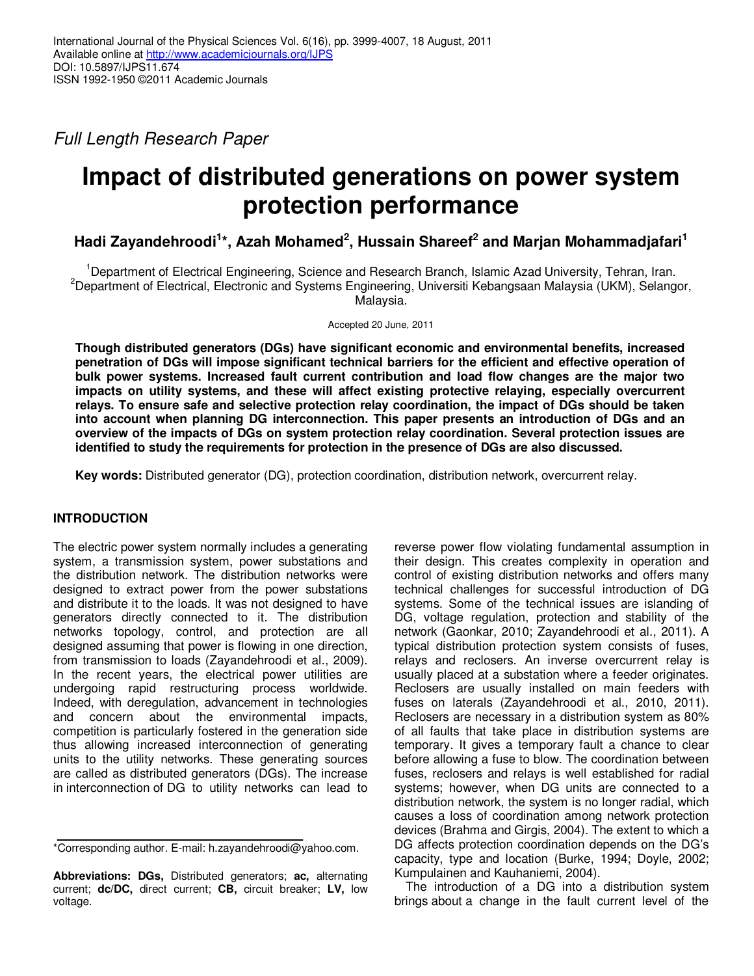Full Length Research Paper

# **Impact of distributed generations on power system protection performance**

**Hadi Zayandehroodi<sup>1</sup> \*, Azah Mohamed<sup>2</sup> , Hussain Shareef<sup>2</sup> and Marjan Mohammadjafari<sup>1</sup>**

<sup>1</sup>Department of Electrical Engineering, Science and Research Branch, Islamic Azad University, Tehran, Iran. <sup>2</sup>Department of Electrical, Electronic and Systems Engineering, Universiti Kebangsaan Malaysia (UKM), Selangor, Malaysia.

Accepted 20 June, 2011

**Though distributed generators (DGs) have significant economic and environmental benefits, increased penetration of DGs will impose significant technical barriers for the efficient and effective operation of bulk power systems. Increased fault current contribution and load flow changes are the major two impacts on utility systems, and these will affect existing protective relaying, especially overcurrent relays. To ensure safe and selective protection relay coordination, the impact of DGs should be taken into account when planning DG interconnection. This paper presents an introduction of DGs and an overview of the impacts of DGs on system protection relay coordination. Several protection issues are identified to study the requirements for protection in the presence of DGs are also discussed.** 

**Key words:** Distributed generator (DG), protection coordination, distribution network, overcurrent relay.

# **INTRODUCTION**

The electric power system normally includes a generating system, a transmission system, power substations and the distribution network. The distribution networks were designed to extract power from the power substations and distribute it to the loads. It was not designed to have generators directly connected to it. The distribution networks topology, control, and protection are all designed assuming that power is flowing in one direction, from transmission to loads (Zayandehroodi et al., 2009). In the recent years, the electrical power utilities are undergoing rapid restructuring process worldwide. Indeed, with deregulation, advancement in technologies and concern about the environmental impacts, competition is particularly fostered in the generation side thus allowing increased interconnection of generating units to the utility networks. These generating sources are called as distributed generators (DGs). The increase in interconnection of DG to utility networks can lead to

reverse power flow violating fundamental assumption in their design. This creates complexity in operation and control of existing distribution networks and offers many technical challenges for successful introduction of DG systems. Some of the technical issues are islanding of DG, voltage regulation, protection and stability of the network (Gaonkar, 2010; Zayandehroodi et al., 2011). A typical distribution protection system consists of fuses, relays and reclosers. An inverse overcurrent relay is usually placed at a substation where a feeder originates. Reclosers are usually installed on main feeders with fuses on laterals (Zayandehroodi et al., 2010, 2011). Reclosers are necessary in a distribution system as 80% of all faults that take place in distribution systems are temporary. It gives a temporary fault a chance to clear before allowing a fuse to blow. The coordination between fuses, reclosers and relays is well established for radial systems; however, when DG units are connected to a distribution network, the system is no longer radial, which causes a loss of coordination among network protection devices (Brahma and Girgis, 2004). The extent to which a DG affects protection coordination depends on the DG's capacity, type and location (Burke, 1994; Doyle, 2002; Kumpulainen and Kauhaniemi, 2004).

The introduction of a DG into a distribution system brings about a change in the fault current level of the

<sup>\*</sup>Corresponding author. E-mail: h.zayandehroodi@yahoo.com.

**Abbreviations: DGs,** Distributed generators; **ac,** alternating current; **dc/DC,** direct current; **CB,** circuit breaker; **LV,** low voltage.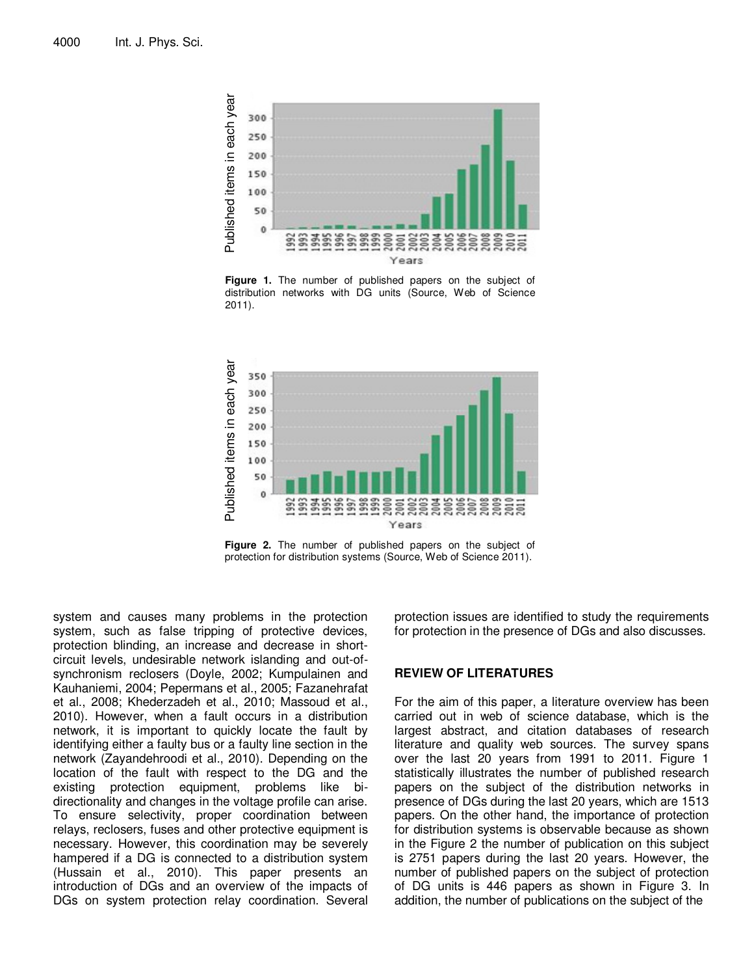

**Figure 1.** The number of published papers on the subject of distribution networks with DG units (Source, Web of Science 2011).



**Figure 2.** The number of published papers on the subject of protection for distribution systems (Source, Web of Science 2011).

system and causes many problems in the protection system, such as false tripping of protective devices, protection blinding, an increase and decrease in shortcircuit levels, undesirable network islanding and out-ofsynchronism reclosers (Doyle, 2002; Kumpulainen and Kauhaniemi, 2004; Pepermans et al., 2005; Fazanehrafat et al., 2008; Khederzadeh et al., 2010; Massoud et al., 2010). However, when a fault occurs in a distribution network, it is important to quickly locate the fault by identifying either a faulty bus or a faulty line section in the network (Zayandehroodi et al., 2010). Depending on the location of the fault with respect to the DG and the existing protection equipment, problems like bidirectionality and changes in the voltage profile can arise. To ensure selectivity, proper coordination between relays, reclosers, fuses and other protective equipment is necessary. However, this coordination may be severely hampered if a DG is connected to a distribution system (Hussain et al., 2010). This paper presents an introduction of DGs and an overview of the impacts of DGs on system protection relay coordination. Several protection issues are identified to study the requirements for protection in the presence of DGs and also discusses.

#### **REVIEW OF LITERATURES**

For the aim of this paper, a literature overview has been carried out in web of science database, which is the largest abstract, and citation databases of research literature and quality web sources. The survey spans over the last 20 years from 1991 to 2011. Figure 1 statistically illustrates the number of published research papers on the subject of the distribution networks in presence of DGs during the last 20 years, which are 1513 papers. On the other hand, the importance of protection for distribution systems is observable because as shown in the Figure 2 the number of publication on this subject is 2751 papers during the last 20 years. However, the number of published papers on the subject of protection of DG units is 446 papers as shown in Figure 3. In addition, the number of publications on the subject of the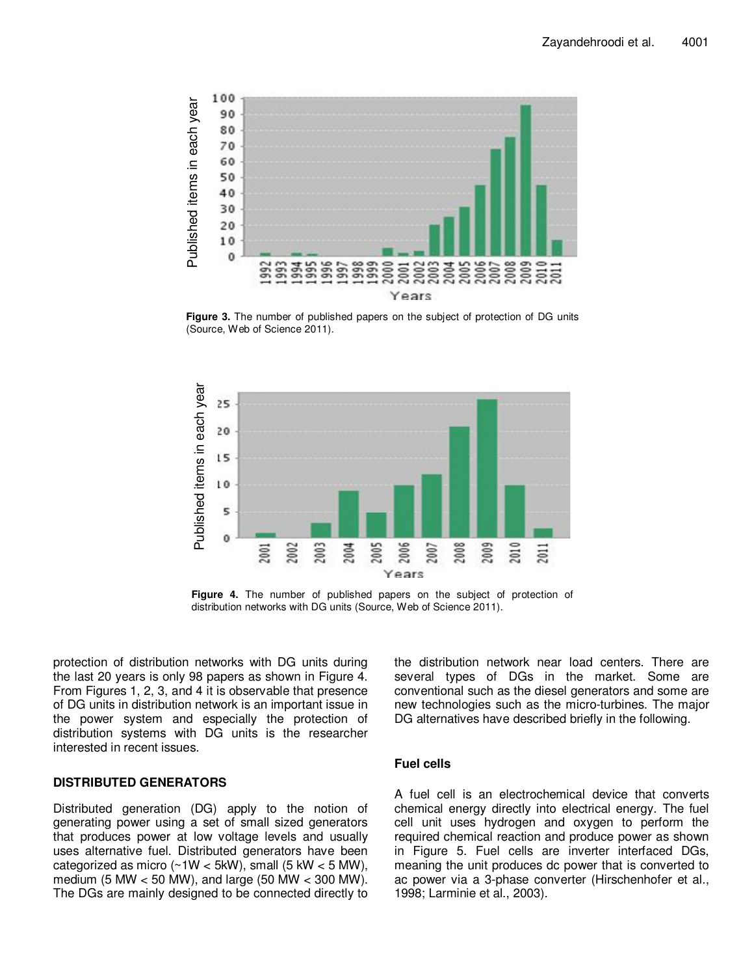

**Figure 3.** The number of published papers on the subject of protection of DG units (Source, Web of Science 2011).



**Figure 4.** The number of published papers on the subject of protection of distribution networks with DG units (Source, Web of Science 2011).

protection of distribution networks with DG units during the last 20 years is only 98 papers as shown in Figure 4. From Figures 1, 2, 3, and 4 it is observable that presence of DG units in distribution network is an important issue in the power system and especially the protection of distribution systems with DG units is the researcher interested in recent issues.

#### **DISTRIBUTED GENERATORS**

Distributed generation (DG) apply to the notion of generating power using a set of small sized generators that produces power at low voltage levels and usually uses alternative fuel. Distributed generators have been categorized as micro ( $\sim 1W < 5kW$ ), small (5 kW  $< 5 MW$ ), medium  $(5 MW < 50 MW)$ , and large  $(50 MW < 300 MW)$ . The DGs are mainly designed to be connected directly to the distribution network near load centers. There are several types of DGs in the market. Some are conventional such as the diesel generators and some are new technologies such as the micro-turbines. The major DG alternatives have described briefly in the following.

#### **Fuel cells**

A fuel cell is an electrochemical device that converts chemical energy directly into electrical energy. The fuel cell unit uses hydrogen and oxygen to perform the required chemical reaction and produce power as shown in Figure 5. Fuel cells are inverter interfaced DGs, meaning the unit produces dc power that is converted to ac power via a 3-phase converter (Hirschenhofer et al., 1998; Larminie et al., 2003).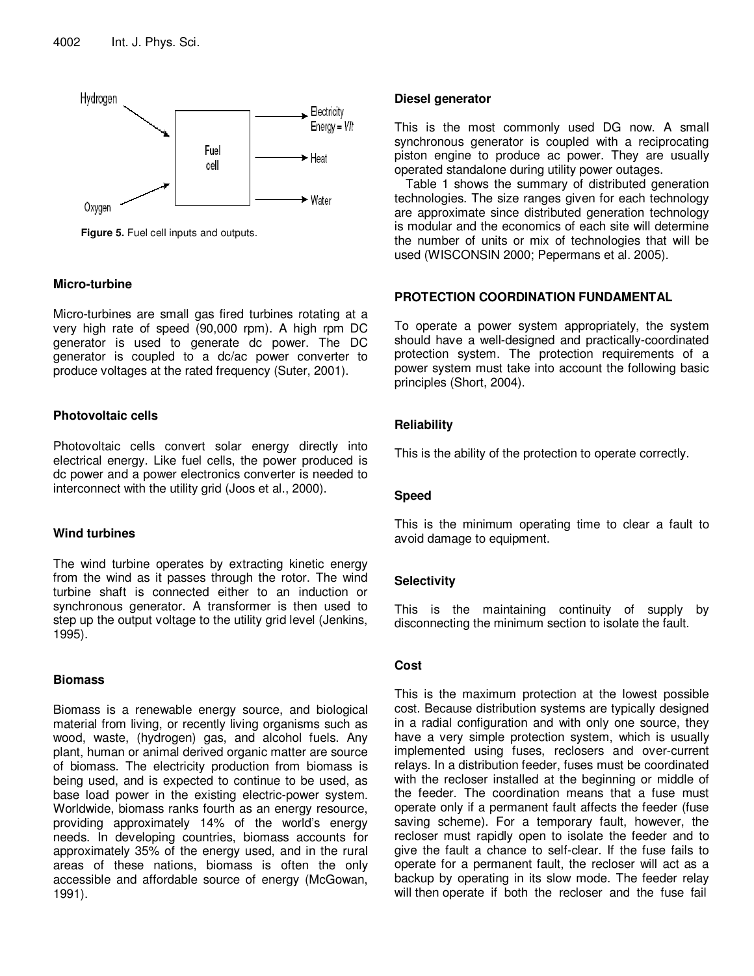



## **Micro-turbine**

Micro-turbines are small gas fired turbines rotating at a very high rate of speed (90,000 rpm). A high rpm DC generator is used to generate dc power. The DC generator is coupled to a dc/ac power converter to produce voltages at the rated frequency (Suter, 2001).

## **Photovoltaic cells**

Photovoltaic cells convert solar energy directly into electrical energy. Like fuel cells, the power produced is dc power and a power electronics converter is needed to interconnect with the utility grid (Joos et al., 2000).

## **Wind turbines**

The wind turbine operates by extracting kinetic energy from the wind as it passes through the rotor. The wind turbine shaft is connected either to an induction or synchronous generator. A transformer is then used to step up the output voltage to the utility grid level (Jenkins, 1995).

## **Biomass**

Biomass is a renewable energy source, and biological material from living, or recently living organisms such as wood, waste, (hydrogen) gas, and alcohol fuels. Any plant, human or animal derived organic matter are source of biomass. The electricity production from biomass is being used, and is expected to continue to be used, as base load power in the existing electric-power system. Worldwide, biomass ranks fourth as an energy resource, providing approximately 14% of the world's energy needs. In developing countries, biomass accounts for approximately 35% of the energy used, and in the rural areas of these nations, biomass is often the only accessible and affordable source of energy (McGowan, 1991).

## **Diesel generator**

This is the most commonly used DG now. A small synchronous generator is coupled with a reciprocating piston engine to produce ac power. They are usually operated standalone during utility power outages.

Table 1 shows the summary of distributed generation technologies. The size ranges given for each technology are approximate since distributed generation technology is modular and the economics of each site will determine the number of units or mix of technologies that will be used (WISCONSIN 2000; Pepermans et al. 2005).

## **PROTECTION COORDINATION FUNDAMENTAL**

To operate a power system appropriately, the system should have a well-designed and practically-coordinated protection system. The protection requirements of a power system must take into account the following basic principles (Short, 2004).

# **Reliability**

This is the ability of the protection to operate correctly.

# **Speed**

This is the minimum operating time to clear a fault to avoid damage to equipment.

# **Selectivity**

This is the maintaining continuity of supply by disconnecting the minimum section to isolate the fault.

# **Cost**

This is the maximum protection at the lowest possible cost. Because distribution systems are typically designed in a radial configuration and with only one source, they have a very simple protection system, which is usually implemented using fuses, reclosers and over-current relays. In a distribution feeder, fuses must be coordinated with the recloser installed at the beginning or middle of the feeder. The coordination means that a fuse must operate only if a permanent fault affects the feeder (fuse saving scheme). For a temporary fault, however, the recloser must rapidly open to isolate the feeder and to give the fault a chance to self-clear. If the fuse fails to operate for a permanent fault, the recloser will act as a backup by operating in its slow mode. The feeder relay will then operate if both the recloser and the fuse fail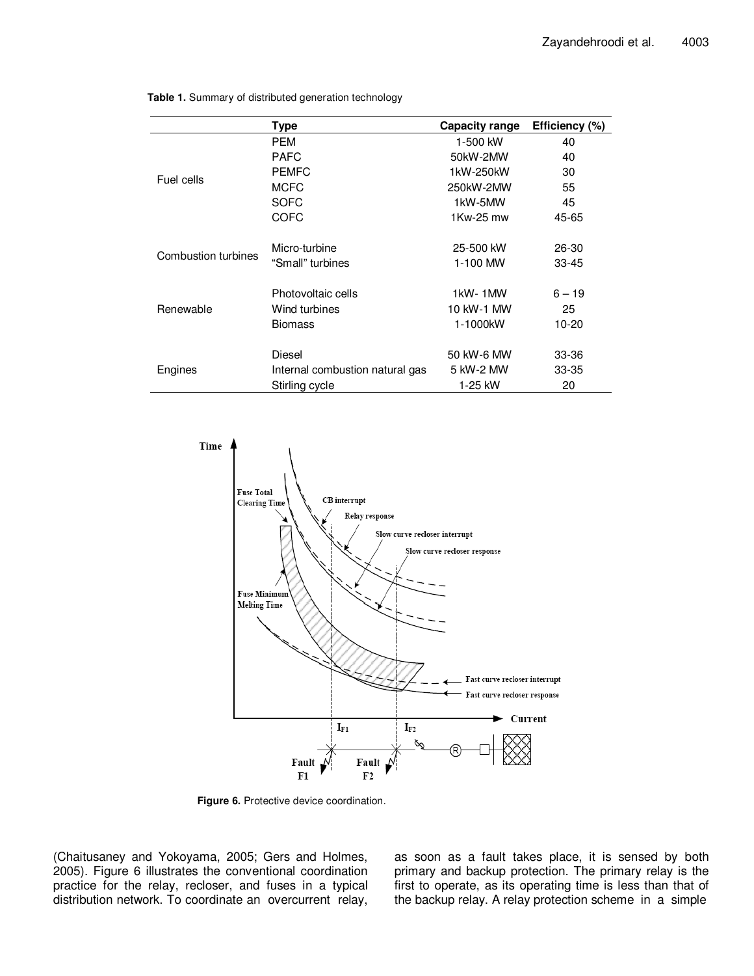|                     | <b>Type</b>                     | Capacity range | Efficiency (%) |
|---------------------|---------------------------------|----------------|----------------|
| Fuel cells          | <b>PEM</b>                      | 1-500 kW       | 40             |
|                     | <b>PAFC</b>                     | 50kW-2MW       | 40             |
|                     | <b>PEMFC</b>                    | 1kW-250kW      | 30             |
|                     | <b>MCFC</b>                     | 250kW-2MW      | 55             |
|                     | <b>SOFC</b>                     | 1kW-5MW        | 45             |
|                     | <b>COFC</b>                     | 1Kw-25 mw      | 45-65          |
| Combustion turbines | Micro-turbine                   | 25-500 kW      | 26-30          |
|                     | "Small" turbines                | 1-100 MW       | $33 - 45$      |
| Renewable           | Photovoltaic cells              | 1kW-1MW        | $6 - 19$       |
|                     | Wind turbines                   | 10 kW-1 MW     | 25             |
|                     | <b>Biomass</b>                  | 1-1000kW       | 10-20          |
| Engines             | Diesel                          | 50 kW-6 MW     | 33-36          |
|                     | Internal combustion natural gas | 5 kW-2 MW      | 33-35          |
|                     | Stirling cycle                  | 1-25 kW        | 20             |

**Table 1.** Summary of distributed generation technology



**Figure 6.** Protective device coordination.

(Chaitusaney and Yokoyama, 2005; Gers and Holmes, 2005). Figure 6 illustrates the conventional coordination practice for the relay, recloser, and fuses in a typical distribution network. To coordinate an overcurrent relay, as soon as a fault takes place, it is sensed by both primary and backup protection. The primary relay is the first to operate, as its operating time is less than that of the backup relay. A relay protection scheme in a simple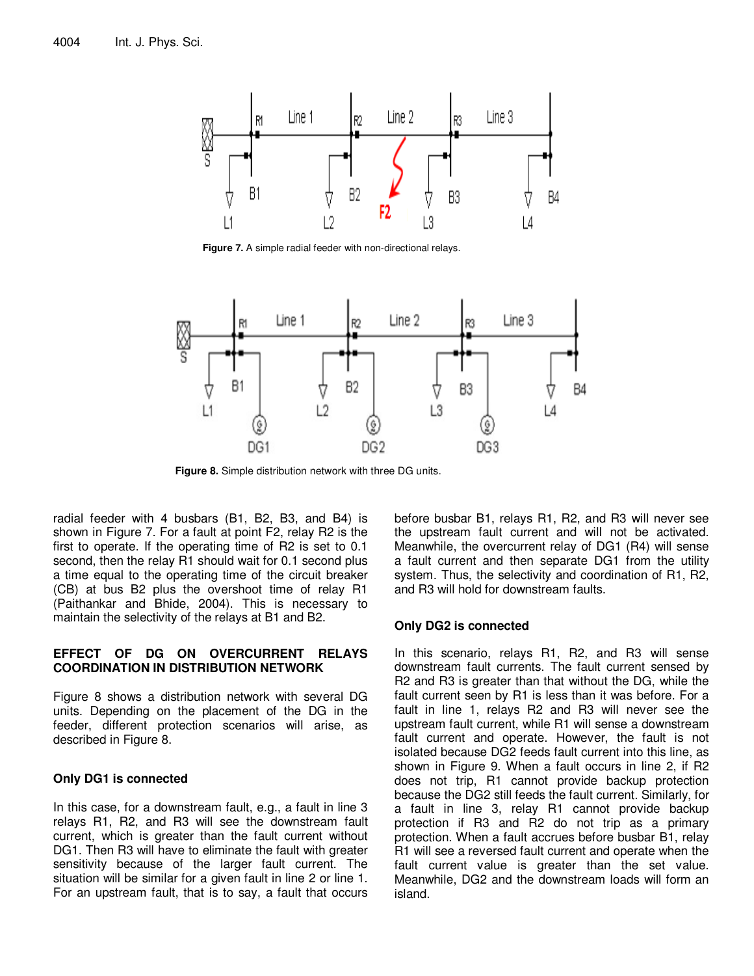

**Figure 7.** A simple radial feeder with non-directional relays.



**Figure 8.** Simple distribution network with three DG units.

radial feeder with 4 busbars (B1, B2, B3, and B4) is shown in Figure 7. For a fault at point F2, relay R2 is the first to operate. If the operating time of R2 is set to 0.1 second, then the relay R1 should wait for 0.1 second plus a time equal to the operating time of the circuit breaker (CB) at bus B2 plus the overshoot time of relay R1 (Paithankar and Bhide, 2004). This is necessary to maintain the selectivity of the relays at B1 and B2.

## **EFFECT OF DG ON OVERCURRENT RELAYS COORDINATION IN DISTRIBUTION NETWORK**

Figure 8 shows a distribution network with several DG units. Depending on the placement of the DG in the feeder, different protection scenarios will arise, as described in Figure 8.

## **Only DG1 is connected**

In this case, for a downstream fault, e.g., a fault in line 3 relays R1, R2, and R3 will see the downstream fault current, which is greater than the fault current without DG1. Then R3 will have to eliminate the fault with greater sensitivity because of the larger fault current. The situation will be similar for a given fault in line 2 or line 1. For an upstream fault, that is to say, a fault that occurs before busbar B1, relays R1, R2, and R3 will never see the upstream fault current and will not be activated. Meanwhile, the overcurrent relay of DG1 (R4) will sense a fault current and then separate DG1 from the utility system. Thus, the selectivity and coordination of R1, R2, and R3 will hold for downstream faults.

## **Only DG2 is connected**

In this scenario, relays R1, R2, and R3 will sense downstream fault currents. The fault current sensed by R2 and R3 is greater than that without the DG, while the fault current seen by R1 is less than it was before. For a fault in line 1, relays R2 and R3 will never see the upstream fault current, while R1 will sense a downstream fault current and operate. However, the fault is not isolated because DG2 feeds fault current into this line, as shown in Figure 9. When a fault occurs in line 2, if R2 does not trip, R1 cannot provide backup protection because the DG2 still feeds the fault current. Similarly, for a fault in line 3, relay R1 cannot provide backup protection if R3 and R2 do not trip as a primary protection. When a fault accrues before busbar B1, relay R1 will see a reversed fault current and operate when the fault current value is greater than the set value. Meanwhile, DG2 and the downstream loads will form an island.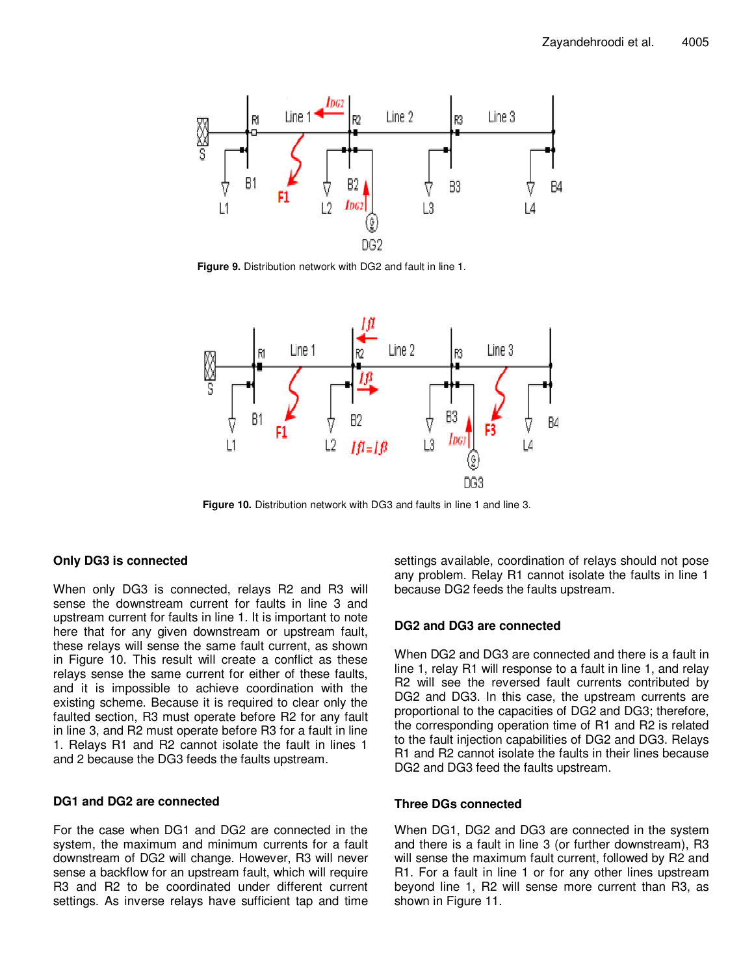

**Figure 9.** Distribution network with DG2 and fault in line 1.



**Figure 10.** Distribution network with DG3 and faults in line 1 and line 3.

#### **Only DG3 is connected**

When only DG3 is connected, relays R2 and R3 will sense the downstream current for faults in line 3 and upstream current for faults in line 1. It is important to note here that for any given downstream or upstream fault, these relays will sense the same fault current, as shown in Figure 10. This result will create a conflict as these relays sense the same current for either of these faults, and it is impossible to achieve coordination with the existing scheme. Because it is required to clear only the faulted section, R3 must operate before R2 for any fault in line 3, and R2 must operate before R3 for a fault in line 1. Relays R1 and R2 cannot isolate the fault in lines 1 and 2 because the DG3 feeds the faults upstream.

#### **DG1 and DG2 are connected**

For the case when DG1 and DG2 are connected in the system, the maximum and minimum currents for a fault downstream of DG2 will change. However, R3 will never sense a backflow for an upstream fault, which will require R3 and R2 to be coordinated under different current settings. As inverse relays have sufficient tap and time settings available, coordination of relays should not pose any problem. Relay R1 cannot isolate the faults in line 1 because DG2 feeds the faults upstream.

#### **DG2 and DG3 are connected**

When DG2 and DG3 are connected and there is a fault in line 1, relay R1 will response to a fault in line 1, and relay R2 will see the reversed fault currents contributed by DG2 and DG3. In this case, the upstream currents are proportional to the capacities of DG2 and DG3; therefore, the corresponding operation time of R1 and R2 is related to the fault injection capabilities of DG2 and DG3. Relays R1 and R2 cannot isolate the faults in their lines because DG2 and DG3 feed the faults upstream.

#### **Three DGs connected**

When DG1, DG2 and DG3 are connected in the system and there is a fault in line 3 (or further downstream), R3 will sense the maximum fault current, followed by R2 and R1. For a fault in line 1 or for any other lines upstream beyond line 1, R2 will sense more current than R3, as shown in Figure 11.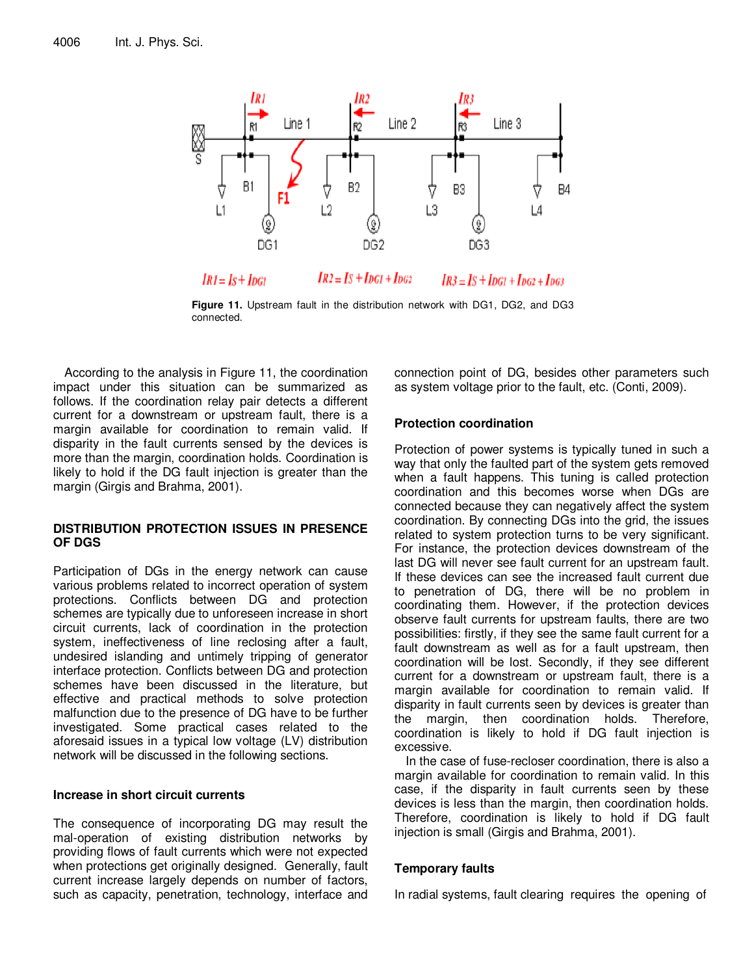

**Figure 11.** Upstream fault in the distribution network with DG1, DG2, and DG3 connected.

According to the analysis in Figure 11, the coordination impact under this situation can be summarized as follows. If the coordination relay pair detects a different current for a downstream or upstream fault, there is a margin available for coordination to remain valid. If disparity in the fault currents sensed by the devices is more than the margin, coordination holds. Coordination is likely to hold if the DG fault injection is greater than the margin (Girgis and Brahma, 2001).

## **DISTRIBUTION PROTECTION ISSUES IN PRESENCE OF DGS**

Participation of DGs in the energy network can cause various problems related to incorrect operation of system protections. Conflicts between DG and protection schemes are typically due to unforeseen increase in short circuit currents, lack of coordination in the protection system, ineffectiveness of line reclosing after a fault, undesired islanding and untimely tripping of generator interface protection. Conflicts between DG and protection schemes have been discussed in the literature, but effective and practical methods to solve protection malfunction due to the presence of DG have to be further investigated. Some practical cases related to the aforesaid issues in a typical low voltage (LV) distribution network will be discussed in the following sections.

## **Increase in short circuit currents**

The consequence of incorporating DG may result the mal-operation of existing distribution networks by providing flows of fault currents which were not expected when protections get originally designed. Generally, fault current increase largely depends on number of factors, such as capacity, penetration, technology, interface and connection point of DG, besides other parameters such as system voltage prior to the fault, etc. (Conti, 2009).

## **Protection coordination**

Protection of power systems is typically tuned in such a way that only the faulted part of the system gets removed when a fault happens. This tuning is called protection coordination and this becomes worse when DGs are connected because they can negatively affect the system coordination. By connecting DGs into the grid, the issues related to system protection turns to be very significant. For instance, the protection devices downstream of the last DG will never see fault current for an upstream fault. If these devices can see the increased fault current due to penetration of DG, there will be no problem in coordinating them. However, if the protection devices observe fault currents for upstream faults, there are two possibilities: firstly, if they see the same fault current for a fault downstream as well as for a fault upstream, then coordination will be lost. Secondly, if they see different current for a downstream or upstream fault, there is a margin available for coordination to remain valid. If disparity in fault currents seen by devices is greater than the margin, then coordination holds. Therefore, coordination is likely to hold if DG fault injection is excessive.

In the case of fuse-recloser coordination, there is also a margin available for coordination to remain valid. In this case, if the disparity in fault currents seen by these devices is less than the margin, then coordination holds. Therefore, coordination is likely to hold if DG fault injection is small (Girgis and Brahma, 2001).

## **Temporary faults**

In radial systems, fault clearing requires the opening of